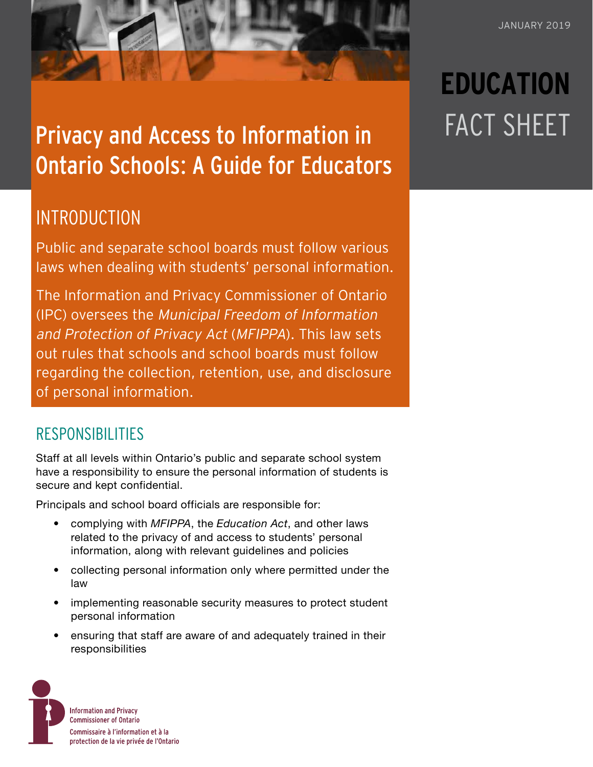## Privacy and Access to Information in Ontario Schools: A Guide for Educators

## **INTRODUCTION**

Public and separate school boards must follow various laws when dealing with students' personal information.

The Information and Privacy Commissioner of Ontario (IPC) oversees the Municipal Freedom of Information and Protection of Privacy Act (MFIPPA). This law sets out rules that schools and school boards must follow regarding the collection, retention, use, and disclosure of personal information.

## RESPONSIBILITIES

Staff at all levels within Ontario's public and separate school system have a responsibility to ensure the personal information of students is secure and kept confidential.

Principals and school board officials are responsible for:

- complying with *MFIPPA*, the *Education Act*, and other laws related to the privacy of and access to students' personal information, along with relevant guidelines and policies
- collecting personal information only where permitted under the law
- implementing reasonable security measures to protect student personal information
- ensuring that staff are aware of and adequately trained in their responsibilities



# **EDUCATION** FACT SHEET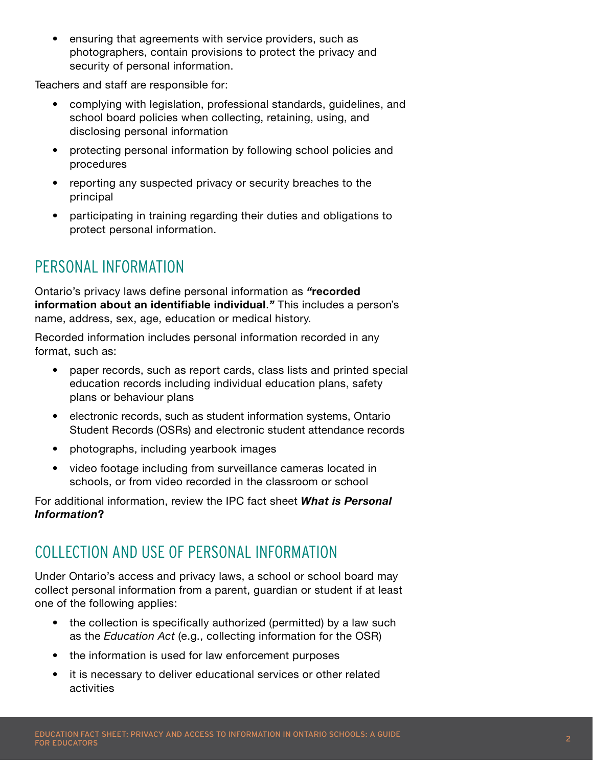• ensuring that agreements with service providers, such as photographers, contain provisions to protect the privacy and security of personal information.

Teachers and staff are responsible for:

- complying with legislation, professional standards, guidelines, and school board policies when collecting, retaining, using, and disclosing personal information
- protecting personal information by following school policies and procedures
- reporting any suspected privacy or security breaches to the principal
- participating in training regarding their duties and obligations to protect personal information.

## PERSONAL INFORMATION

Ontario's privacy laws define personal information as *"***recorded information about an identifiable individual**.*"* This includes a person's name, address, sex, age, education or medical history.

Recorded information includes personal information recorded in any format, such as:

- paper records, such as report cards, class lists and printed special education records including individual education plans, safety plans or behaviour plans
- electronic records, such as student information systems, Ontario Student Records (OSRs) and electronic student attendance records
- photographs, including yearbook images
- video footage including from surveillance cameras located in schools, or from video recorded in the classroom or school

For additional information, review the IPC fact sheet *[What is Personal](https://www.ipc.on.ca/wp-content/uploads/2016/10/what-is-personal-information.pdf)  [Information](https://www.ipc.on.ca/wp-content/uploads/2016/10/what-is-personal-information.pdf)***?**

## COLLECTION AND USE OF PERSONAL INFORMATION

Under Ontario's access and privacy laws, a school or school board may collect personal information from a parent, guardian or student if at least one of the following applies:

- the collection is specifically authorized (permitted) by a law such as the *Education Act* (e.g., collecting information for the OSR)
- the information is used for law enforcement purposes
- it is necessary to deliver educational services or other related activities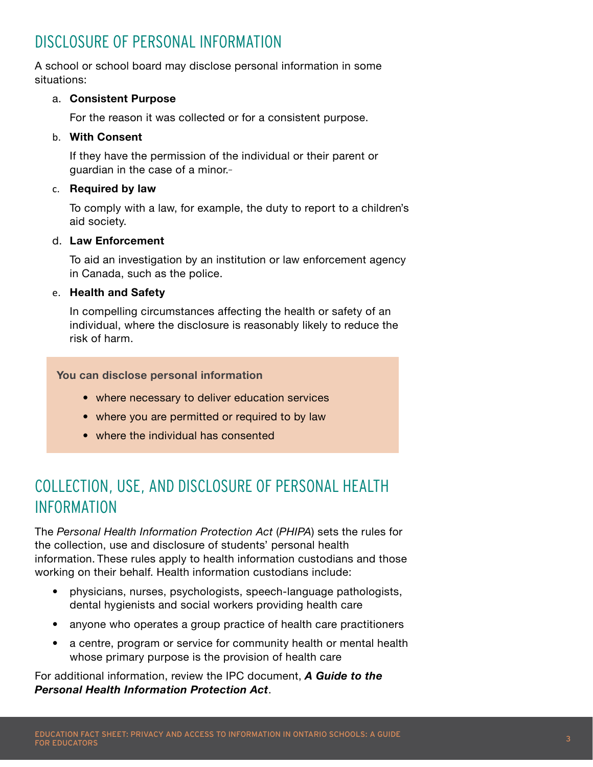## DISCLOSURE OF PERSONAL INFORMATION

A school or school board may disclose personal information in some situations:

### a. **Consistent Purpose**

For the reason it was collected or for a consistent purpose.

### b. **With Consent**

If they have the permission of the individual or their parent or guardian in the case of a minor.

### c. **Required by law**

To comply with a law, for example, the duty to report to a children's aid society.

### d. **Law Enforcement**

To aid an investigation by an institution or law enforcement agency in Canada, such as the police.

### e. **Health and Safety**

In compelling circumstances affecting the health or safety of an individual, where the disclosure is reasonably likely to reduce the risk of harm.

**You can disclose personal information**

- where necessary to deliver education services
- where you are permitted or required to by law
- where the individual has consented

## COLLECTION, USE, AND DISCLOSURE OF PERSONAL HEALTH INFORMATION

The *Personal Health Information Protection Act* (*PHIPA*) sets the rules for the collection, use and disclosure of students' personal health information. These rules apply to health information custodians and those working on their behalf. Health information custodians include:

- physicians, nurses, psychologists, speech-language pathologists, dental hygienists and social workers providing health care
- anyone who operates a group practice of health care practitioners
- a centre, program or service for community health or mental health whose primary purpose is the provision of health care

For additional information, review the IPC document, *[A Guide to the](https://www.ipc.on.ca/wp-content/uploads/Resources/hguide-e.pdf)  [Personal Health Information Protection Act](https://www.ipc.on.ca/wp-content/uploads/Resources/hguide-e.pdf)*.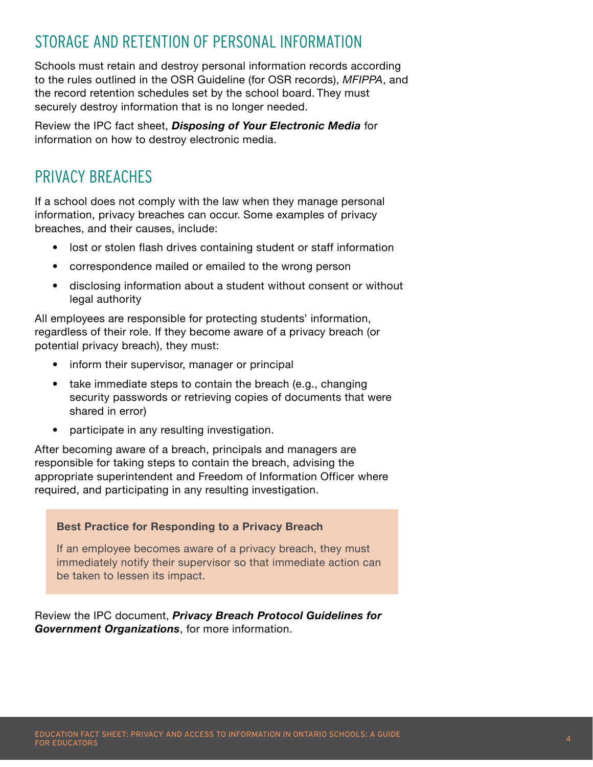## STORAGE AND RETENTION OF PERSONAL INFORMATION

Schools must retain and destroy personal information records according to the rules outlined in the OSR Guideline (for OSR records), *MFIPPA*, and the record retention schedules set by the school board. They must securely destroy information that is no longer needed.

Review the IPC fact sheet, *[Disposing of Your Electronic Media](https://www.ipc.on.ca/wp-content/uploads/2018/03/fs-tech-disposing-of-your-electronic-media-003.pdf)* for information on how to destroy electronic media.

## PRIVACY BREACHES

If a school does not comply with the law when they manage personal information, privacy breaches can occur. Some examples of privacy breaches, and their causes, include:

- lost or stolen flash drives containing student or staff information
- correspondence mailed or emailed to the wrong person
- disclosing information about a student without consent or without legal authority

All employees are responsible for protecting students' information, regardless of their role. If they become aware of a privacy breach (or potential privacy breach), they must:

- inform their supervisor, manager or principal
- take immediate steps to contain the breach (e.g., changing security passwords or retrieving copies of documents that were shared in error)
- participate in any resulting investigation.

After becoming aware of a breach, principals and managers are responsible for taking steps to contain the breach, advising the appropriate superintendent and Freedom of Information Officer where required, and participating in any resulting investigation.

#### **Best Practice for Responding to a Privacy Breach**

If an employee becomes aware of a privacy breach, they must immediately notify their supervisor so that immediate action can be taken to lessen its impact.

Review the IPC document, *[Privacy Breach Protocol Guidelines for](https://www.ipc.on.ca/wp-content/uploads/Resources/Privacy-Breach-e.pdf)  [Government Organizations](https://www.ipc.on.ca/wp-content/uploads/Resources/Privacy-Breach-e.pdf)*, for more information.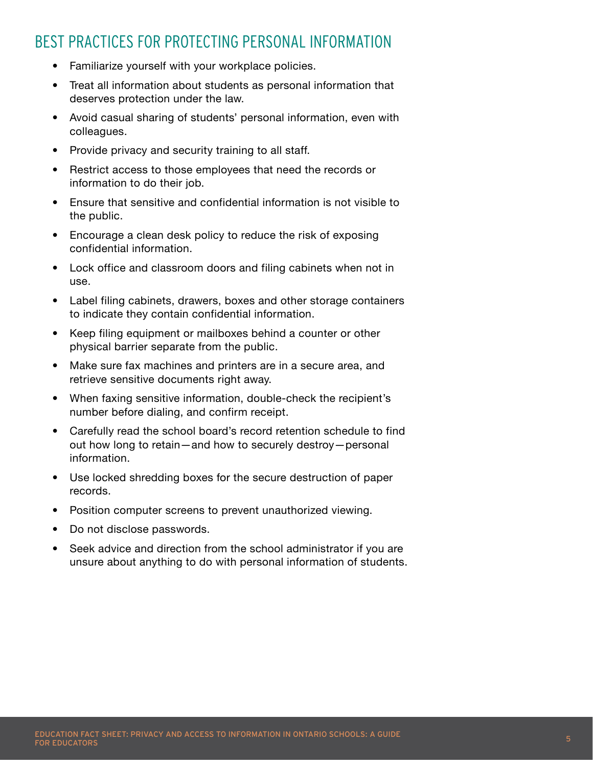## BEST PRACTICES FOR PROTECTING PERSONAL INFORMATION

- Familiarize yourself with your workplace policies.
- Treat all information about students as personal information that deserves protection under the law.
- Avoid casual sharing of students' personal information, even with colleagues.
- Provide privacy and security training to all staff.
- Restrict access to those employees that need the records or information to do their job.
- Ensure that sensitive and confidential information is not visible to the public.
- Encourage a clean desk policy to reduce the risk of exposing confidential information.
- Lock office and classroom doors and filing cabinets when not in use.
- Label filing cabinets, drawers, boxes and other storage containers to indicate they contain confidential information.
- Keep filing equipment or mailboxes behind a counter or other physical barrier separate from the public.
- Make sure fax machines and printers are in a secure area, and retrieve sensitive documents right away.
- When faxing sensitive information, double-check the recipient's number before dialing, and confirm receipt.
- Carefully read the school board's record retention schedule to find out how long to retain—and how to securely destroy—personal information.
- Use locked shredding boxes for the secure destruction of paper records.
- Position computer screens to prevent unauthorized viewing.
- Do not disclose passwords.
- Seek advice and direction from the school administrator if you are unsure about anything to do with personal information of students.